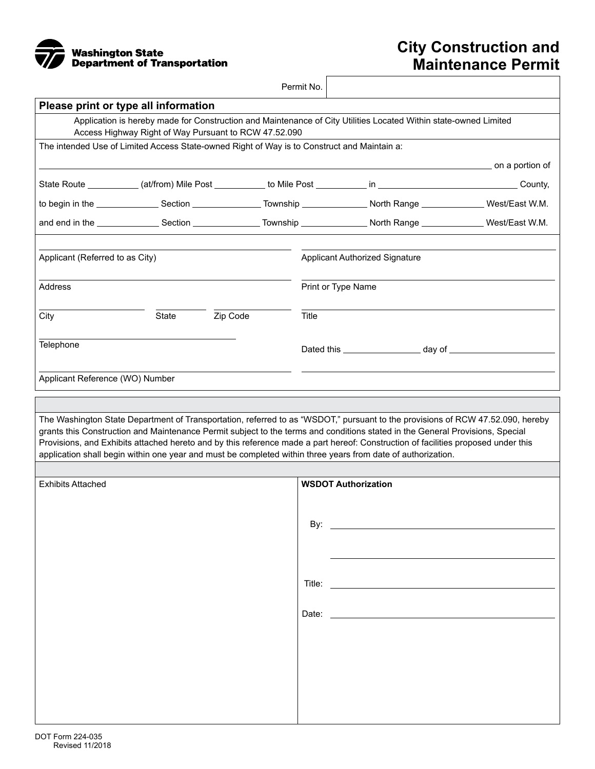

## **City Construction and Maintenance Permit**

|                                 |                                                                                             |          | Permit No.                     |                                                                                                                                                                                                                                                                                                                                                                                                                                                                                                                      |  |
|---------------------------------|---------------------------------------------------------------------------------------------|----------|--------------------------------|----------------------------------------------------------------------------------------------------------------------------------------------------------------------------------------------------------------------------------------------------------------------------------------------------------------------------------------------------------------------------------------------------------------------------------------------------------------------------------------------------------------------|--|
|                                 | Please print or type all information                                                        |          |                                |                                                                                                                                                                                                                                                                                                                                                                                                                                                                                                                      |  |
|                                 | Access Highway Right of Way Pursuant to RCW 47.52.090                                       |          |                                | Application is hereby made for Construction and Maintenance of City Utilities Located Within state-owned Limited                                                                                                                                                                                                                                                                                                                                                                                                     |  |
|                                 | The intended Use of Limited Access State-owned Right of Way is to Construct and Maintain a: |          |                                |                                                                                                                                                                                                                                                                                                                                                                                                                                                                                                                      |  |
|                                 |                                                                                             |          |                                |                                                                                                                                                                                                                                                                                                                                                                                                                                                                                                                      |  |
|                                 |                                                                                             |          |                                |                                                                                                                                                                                                                                                                                                                                                                                                                                                                                                                      |  |
|                                 |                                                                                             |          |                                |                                                                                                                                                                                                                                                                                                                                                                                                                                                                                                                      |  |
|                                 |                                                                                             |          |                                |                                                                                                                                                                                                                                                                                                                                                                                                                                                                                                                      |  |
| Applicant (Referred to as City) |                                                                                             |          | Applicant Authorized Signature |                                                                                                                                                                                                                                                                                                                                                                                                                                                                                                                      |  |
| Address                         |                                                                                             |          | Print or Type Name             |                                                                                                                                                                                                                                                                                                                                                                                                                                                                                                                      |  |
| City                            | State                                                                                       | Zip Code | Title                          |                                                                                                                                                                                                                                                                                                                                                                                                                                                                                                                      |  |
| Telephone                       |                                                                                             |          |                                |                                                                                                                                                                                                                                                                                                                                                                                                                                                                                                                      |  |
| Applicant Reference (WO) Number |                                                                                             |          |                                |                                                                                                                                                                                                                                                                                                                                                                                                                                                                                                                      |  |
|                                 |                                                                                             |          |                                |                                                                                                                                                                                                                                                                                                                                                                                                                                                                                                                      |  |
|                                 |                                                                                             |          |                                | The Washington State Department of Transportation, referred to as "WSDOT," pursuant to the provisions of RCW 47.52.090, hereby<br>grants this Construction and Maintenance Permit subject to the terms and conditions stated in the General Provisions, Special<br>Provisions, and Exhibits attached hereto and by this reference made a part hereof: Construction of facilities proposed under this<br>application shall begin within one year and must be completed within three years from date of authorization. |  |
|                                 |                                                                                             |          |                                |                                                                                                                                                                                                                                                                                                                                                                                                                                                                                                                      |  |
| <b>Exhibits Attached</b>        |                                                                                             |          |                                | <b>WSDOT Authorization</b>                                                                                                                                                                                                                                                                                                                                                                                                                                                                                           |  |
|                                 |                                                                                             |          | By:                            |                                                                                                                                                                                                                                                                                                                                                                                                                                                                                                                      |  |
|                                 |                                                                                             |          |                                |                                                                                                                                                                                                                                                                                                                                                                                                                                                                                                                      |  |
|                                 |                                                                                             |          |                                |                                                                                                                                                                                                                                                                                                                                                                                                                                                                                                                      |  |
|                                 |                                                                                             |          |                                |                                                                                                                                                                                                                                                                                                                                                                                                                                                                                                                      |  |
|                                 |                                                                                             |          |                                |                                                                                                                                                                                                                                                                                                                                                                                                                                                                                                                      |  |
|                                 |                                                                                             |          |                                |                                                                                                                                                                                                                                                                                                                                                                                                                                                                                                                      |  |
|                                 |                                                                                             |          |                                |                                                                                                                                                                                                                                                                                                                                                                                                                                                                                                                      |  |
|                                 |                                                                                             |          |                                |                                                                                                                                                                                                                                                                                                                                                                                                                                                                                                                      |  |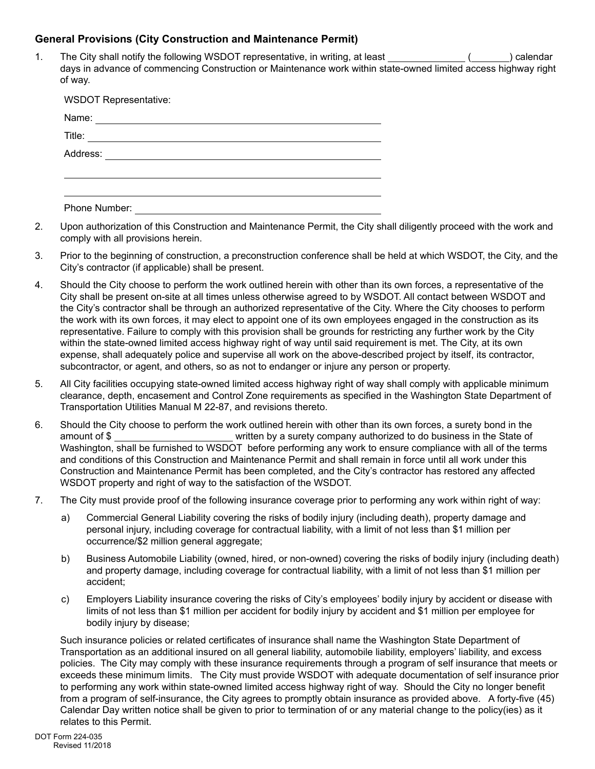## **General Provisions (City Construction and Maintenance Permit)**

1. The City shall notify the following WSDOT representative, in writing, at least ( ) calendar days in advance of commencing Construction or Maintenance work within state-owned limited access highway right of way.

| <b>WSDOT Representative:</b>                                                                                                    |
|---------------------------------------------------------------------------------------------------------------------------------|
| Name:<br><u> 1989 - Johann John Stone, mars et al. 1989 - John Stone, mars et al. 1989 - John Stone, mars et al. 1989 - Joh</u> |
| Title:                                                                                                                          |
| Address: ____________________                                                                                                   |
|                                                                                                                                 |
|                                                                                                                                 |
| Phone Number:                                                                                                                   |

- 2. Upon authorization of this Construction and Maintenance Permit, the City shall diligently proceed with the work and comply with all provisions herein.
- 3. Prior to the beginning of construction, a preconstruction conference shall be held at which WSDOT, the City, and the City's contractor (if applicable) shall be present.
- 4. Should the City choose to perform the work outlined herein with other than its own forces, a representative of the City shall be present on-site at all times unless otherwise agreed to by WSDOT. All contact between WSDOT and the City's contractor shall be through an authorized representative of the City. Where the City chooses to perform the work with its own forces, it may elect to appoint one of its own employees engaged in the construction as its representative. Failure to comply with this provision shall be grounds for restricting any further work by the City within the state-owned limited access highway right of way until said requirement is met. The City, at its own expense, shall adequately police and supervise all work on the above-described project by itself, its contractor, subcontractor, or agent, and others, so as not to endanger or injure any person or property.
- 5. All City facilities occupying state-owned limited access highway right of way shall comply with applicable minimum clearance, depth, encasement and Control Zone requirements as specified in the Washington State Department of Transportation Utilities Manual M 22-87, and revisions thereto.
- 6. Should the City choose to perform the work outlined herein with other than its own forces, a surety bond in the amount of \$ written by a surety company authorized to do business in the State of Washington, shall be furnished to WSDOT before performing any work to ensure compliance with all of the terms and conditions of this Construction and Maintenance Permit and shall remain in force until all work under this Construction and Maintenance Permit has been completed, and the City's contractor has restored any affected WSDOT property and right of way to the satisfaction of the WSDOT.
- 7. The City must provide proof of the following insurance coverage prior to performing any work within right of way:
	- a) Commercial General Liability covering the risks of bodily injury (including death), property damage and personal injury, including coverage for contractual liability, with a limit of not less than \$1 million per occurrence/\$2 million general aggregate;
	- b) Business Automobile Liability (owned, hired, or non-owned) covering the risks of bodily injury (including death) and property damage, including coverage for contractual liability, with a limit of not less than \$1 million per accident;
	- c) Employers Liability insurance covering the risks of City's employees' bodily injury by accident or disease with limits of not less than \$1 million per accident for bodily injury by accident and \$1 million per employee for bodily injury by disease;

Such insurance policies or related certificates of insurance shall name the Washington State Department of Transportation as an additional insured on all general liability, automobile liability, employers' liability, and excess policies. The City may comply with these insurance requirements through a program of self insurance that meets or exceeds these minimum limits. The City must provide WSDOT with adequate documentation of self insurance prior to performing any work within state-owned limited access highway right of way. Should the City no longer benefit from a program of self-insurance, the City agrees to promptly obtain insurance as provided above. A forty-five (45) Calendar Day written notice shall be given to prior to termination of or any material change to the policy(ies) as it relates to this Permit.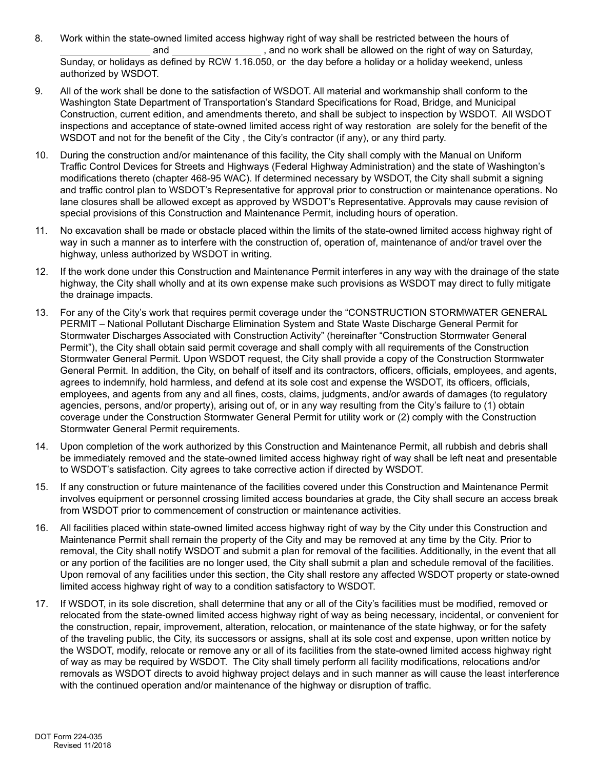- 8. Work within the state-owned limited access highway right of way shall be restricted between the hours of and and same controller and no work shall be allowed on the right of way on Saturday, Sunday, or holidays as defined by RCW 1.16.050, or the day before a holiday or a holiday weekend, unless authorized by WSDOT.
- 9. All of the work shall be done to the satisfaction of WSDOT. All material and workmanship shall conform to the Washington State Department of Transportation's Standard Specifications for Road, Bridge, and Municipal Construction, current edition, and amendments thereto, and shall be subject to inspection by WSDOT. All WSDOT inspections and acceptance of state-owned limited access right of way restoration are solely for the benefit of the WSDOT and not for the benefit of the City , the City's contractor (if any), or any third party.
- 10. During the construction and/or maintenance of this facility, the City shall comply with the Manual on Uniform Traffic Control Devices for Streets and Highways (Federal Highway Administration) and the state of Washington's modifications thereto (chapter 468-95 WAC). If determined necessary by WSDOT, the City shall submit a signing and traffic control plan to WSDOT's Representative for approval prior to construction or maintenance operations. No lane closures shall be allowed except as approved by WSDOT's Representative. Approvals may cause revision of special provisions of this Construction and Maintenance Permit, including hours of operation.
- 11. No excavation shall be made or obstacle placed within the limits of the state-owned limited access highway right of way in such a manner as to interfere with the construction of, operation of, maintenance of and/or travel over the highway, unless authorized by WSDOT in writing.
- 12. If the work done under this Construction and Maintenance Permit interferes in any way with the drainage of the state highway, the City shall wholly and at its own expense make such provisions as WSDOT may direct to fully mitigate the drainage impacts.
- 13. For any of the City's work that requires permit coverage under the "CONSTRUCTION STORMWATER GENERAL PERMIT – National Pollutant Discharge Elimination System and State Waste Discharge General Permit for Stormwater Discharges Associated with Construction Activity" (hereinafter "Construction Stormwater General Permit"), the City shall obtain said permit coverage and shall comply with all requirements of the Construction Stormwater General Permit. Upon WSDOT request, the City shall provide a copy of the Construction Stormwater General Permit. In addition, the City, on behalf of itself and its contractors, officers, officials, employees, and agents, agrees to indemnify, hold harmless, and defend at its sole cost and expense the WSDOT, its officers, officials, employees, and agents from any and all fines, costs, claims, judgments, and/or awards of damages (to regulatory agencies, persons, and/or property), arising out of, or in any way resulting from the City's failure to (1) obtain coverage under the Construction Stormwater General Permit for utility work or (2) comply with the Construction Stormwater General Permit requirements.
- 14. Upon completion of the work authorized by this Construction and Maintenance Permit, all rubbish and debris shall be immediately removed and the state-owned limited access highway right of way shall be left neat and presentable to WSDOT's satisfaction. City agrees to take corrective action if directed by WSDOT.
- 15. If any construction or future maintenance of the facilities covered under this Construction and Maintenance Permit involves equipment or personnel crossing limited access boundaries at grade, the City shall secure an access break from WSDOT prior to commencement of construction or maintenance activities.
- 16. All facilities placed within state-owned limited access highway right of way by the City under this Construction and Maintenance Permit shall remain the property of the City and may be removed at any time by the City. Prior to removal, the City shall notify WSDOT and submit a plan for removal of the facilities. Additionally, in the event that all or any portion of the facilities are no longer used, the City shall submit a plan and schedule removal of the facilities. Upon removal of any facilities under this section, the City shall restore any affected WSDOT property or state-owned limited access highway right of way to a condition satisfactory to WSDOT.
- 17. If WSDOT, in its sole discretion, shall determine that any or all of the City's facilities must be modified, removed or relocated from the state-owned limited access highway right of way as being necessary, incidental, or convenient for the construction, repair, improvement, alteration, relocation, or maintenance of the state highway, or for the safety of the traveling public, the City, its successors or assigns, shall at its sole cost and expense, upon written notice by the WSDOT, modify, relocate or remove any or all of its facilities from the state-owned limited access highway right of way as may be required by WSDOT. The City shall timely perform all facility modifications, relocations and/or removals as WSDOT directs to avoid highway project delays and in such manner as will cause the least interference with the continued operation and/or maintenance of the highway or disruption of traffic.